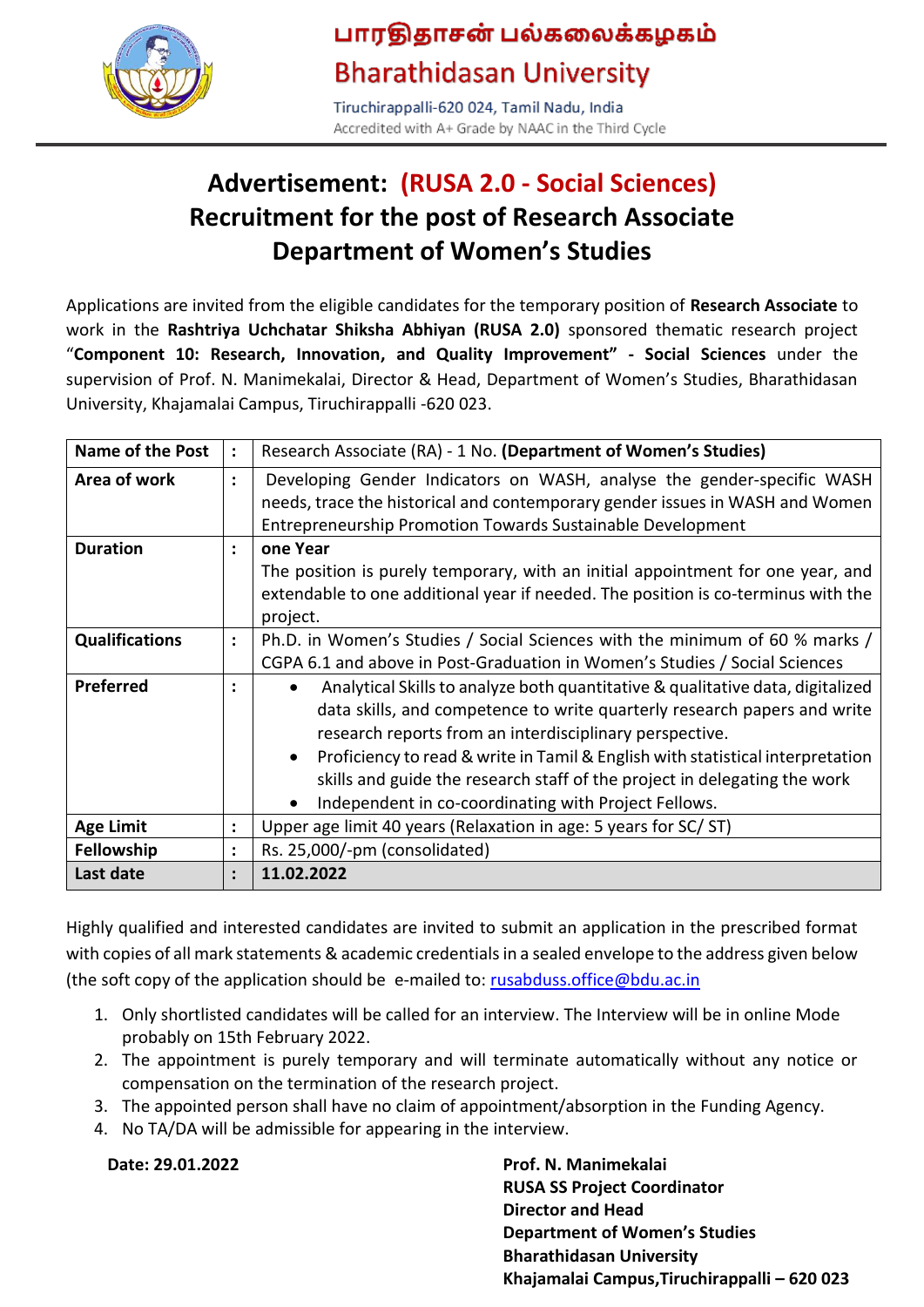

## பாரதிதாசன் பல்கலைக்கழகம் **Bharathidasan University**

Tiruchirappalli-620 024, Tamil Nadu, India Accredited with A+ Grade by NAAC in the Third Cycle

## **Advertisement: (RUSA 2.0 - Social Sciences) Recruitment for the post of Research Associate Department of Women's Studies**

Applications are invited from the eligible candidates for the temporary position of **Research Associate** to work in the **Rashtriya Uchchatar Shiksha Abhiyan (RUSA 2.0)** sponsored thematic research project "**Component 10: Research, Innovation, and Quality Improvement" - Social Sciences** under the supervision of Prof. N. Manimekalai, Director & Head, Department of Women's Studies, Bharathidasan University, Khajamalai Campus, Tiruchirappalli -620 023.

| Name of the Post      | $\ddot{\cdot}$ | Research Associate (RA) - 1 No. (Department of Women's Studies)                                                                                                                                                                                                                                                                                                                                                                              |  |  |
|-----------------------|----------------|----------------------------------------------------------------------------------------------------------------------------------------------------------------------------------------------------------------------------------------------------------------------------------------------------------------------------------------------------------------------------------------------------------------------------------------------|--|--|
| Area of work          | $\ddot{\cdot}$ | Developing Gender Indicators on WASH, analyse the gender-specific WASH<br>needs, trace the historical and contemporary gender issues in WASH and Women<br>Entrepreneurship Promotion Towards Sustainable Development                                                                                                                                                                                                                         |  |  |
| <b>Duration</b>       | $\ddot{\cdot}$ | one Year<br>The position is purely temporary, with an initial appointment for one year, and<br>extendable to one additional year if needed. The position is co-terminus with the<br>project.                                                                                                                                                                                                                                                 |  |  |
| <b>Qualifications</b> | $\ddot{\cdot}$ | Ph.D. in Women's Studies / Social Sciences with the minimum of 60 % marks /<br>CGPA 6.1 and above in Post-Graduation in Women's Studies / Social Sciences                                                                                                                                                                                                                                                                                    |  |  |
| <b>Preferred</b>      | ٠              | Analytical Skills to analyze both quantitative & qualitative data, digitalized<br>data skills, and competence to write quarterly research papers and write<br>research reports from an interdisciplinary perspective.<br>Proficiency to read & write in Tamil & English with statistical interpretation<br>skills and guide the research staff of the project in delegating the work<br>Independent in co-coordinating with Project Fellows. |  |  |
| <b>Age Limit</b>      | $\bullet$      | Upper age limit 40 years (Relaxation in age: 5 years for SC/ST)                                                                                                                                                                                                                                                                                                                                                                              |  |  |
| <b>Fellowship</b>     | $\ddot{\cdot}$ | Rs. 25,000/-pm (consolidated)                                                                                                                                                                                                                                                                                                                                                                                                                |  |  |
| Last date             | $\ddot{\cdot}$ | 11.02.2022                                                                                                                                                                                                                                                                                                                                                                                                                                   |  |  |

Highly qualified and interested candidates are invited to submit an application in the prescribed format with copies of all mark statements & academic credentials in a sealed envelope to the address given below (the soft copy of the application should be e-mailed to: [rusabduss.office@bdu.ac.in](mailto:rusabduss.office@bdu.ac.in)

- 1. Only shortlisted candidates will be called for an interview. The Interview will be in online Mode probably on 15th February 2022.
- 2. The appointment is purely temporary and will terminate automatically without any notice or compensation on the termination of the research project.
- 3. The appointed person shall have no claim of appointment/absorption in the Funding Agency.
- 4. No TA/DA will be admissible for appearing in the interview.

**Date: 29.01.2022 Prof. N. Manimekalai RUSA SS Project Coordinator Director and Head Department of Women's Studies Bharathidasan University Khajamalai Campus,Tiruchirappalli – 620 023**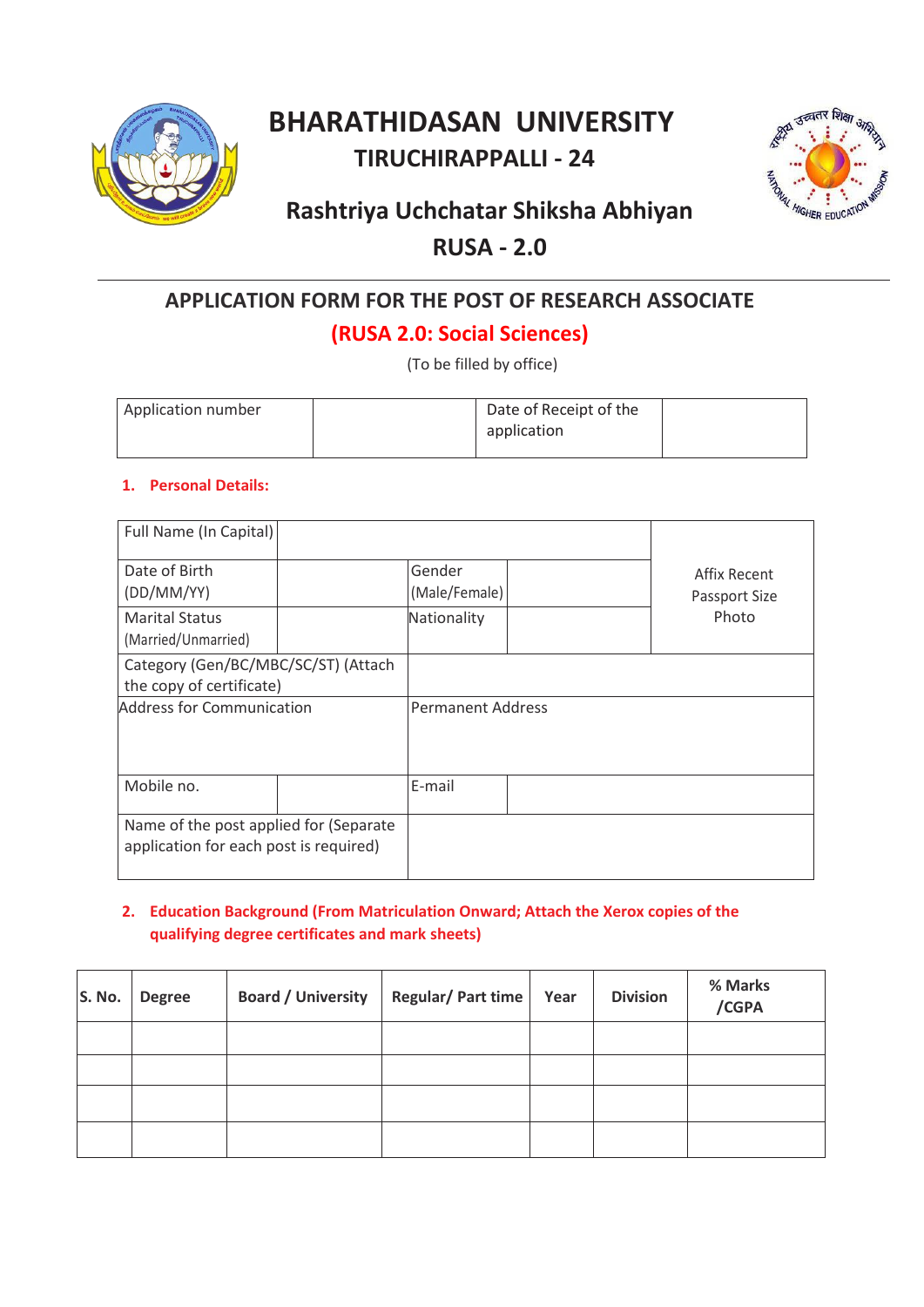

## **BHARATHIDASAN UNIVERSITY TIRUCHIRAPPALLI - 24**



## **Rashtriya Uchchatar Shiksha Abhiyan**

### **RUSA - 2.0**

# **APPLICATION FORM FOR THE POST OF RESEARCH ASSOCIATE**

## **(RUSA 2.0: Social Sciences)**

(To be filled by office)

| Application number | Date of Receipt of the |  |
|--------------------|------------------------|--|
|                    | application            |  |
|                    |                        |  |

#### **1. Personal Details:**

| Full Name (In Capital)                                                           |  |                          |                               |
|----------------------------------------------------------------------------------|--|--------------------------|-------------------------------|
| Date of Birth<br>(DD/MM/YY)                                                      |  | Gender<br>(Male/Female)  | Affix Recent<br>Passport Size |
| <b>Marital Status</b><br>(Married/Unmarried)                                     |  | Nationality              | Photo                         |
| Category (Gen/BC/MBC/SC/ST) (Attach<br>the copy of certificate)                  |  |                          |                               |
| Address for Communication                                                        |  | <b>Permanent Address</b> |                               |
| Mobile no.                                                                       |  | E-mail                   |                               |
| Name of the post applied for (Separate<br>application for each post is required) |  |                          |                               |

#### **2. Education Background (From Matriculation Onward; Attach the Xerox copies of the qualifying degree certificates and mark sheets)**

| S. No. | <b>Degree</b> | <b>Board / University</b> | Regular/Part time | Year | <b>Division</b> | % Marks<br>/CGPA |
|--------|---------------|---------------------------|-------------------|------|-----------------|------------------|
|        |               |                           |                   |      |                 |                  |
|        |               |                           |                   |      |                 |                  |
|        |               |                           |                   |      |                 |                  |
|        |               |                           |                   |      |                 |                  |